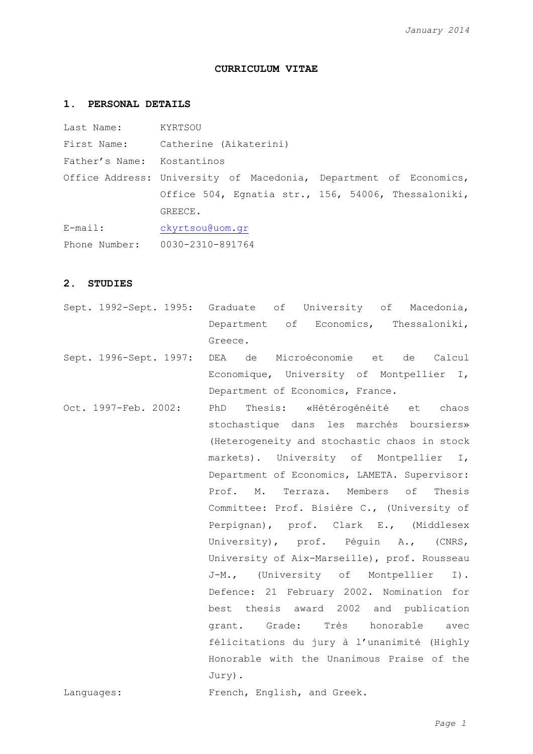## **CURRICULUM VITAE**

## **1. PERSONAL DETAILS**

| Last Name:                 | KYRTSOU                                                           |
|----------------------------|-------------------------------------------------------------------|
| First Name:                | Catherine (Aikaterini)                                            |
| Father's Name: Kostantinos |                                                                   |
|                            | Office Address: University of Macedonia, Department of Economics, |
|                            | Office 504, Eqnatia str., 156, 54006, Thessaloniki,               |
|                            | GREECE.                                                           |
| $E$ -mail:                 | ckyrtsou@uom.gr                                                   |
| Phone Number:              | 0030-2310-891764                                                  |

### **2. STUDIES**

- Sept. 1992-Sept. 1995: Graduate of University of Macedonia, Department of Economics, Thessaloniki, Greece.
- Sept. 1996-Sept. 1997: DEA de Microéconomie et de Calcul Economique, University of Montpellier I, Department of Economics, France.
- Oct. 1997-Feb. 2002: PhD Thesis: «Hétérogénéité et chaos stochastique dans les marchés boursiers» (Heterogeneity and stochastic chaos in stock markets). University of Montpellier I, Department of Economics, LAMETA. Supervisor: Prof. M. Terraza. Members of Thesis Committee: Prof. Bisière C., (University of Perpignan), prof. Clark E., (Middlesex University), prof. Péguin A., (CNRS, University of Aix-Marseille), prof. Rousseau J-M., (University of Montpellier I). Defence: 21 February 2002. Nomination for best thesis award 2002 and publication grant. Grade: Très honorable avec félicitations du jury à l'unanimité (Highly Honorable with the Unanimous Praise of the Jury).

Languages: French, English, and Greek.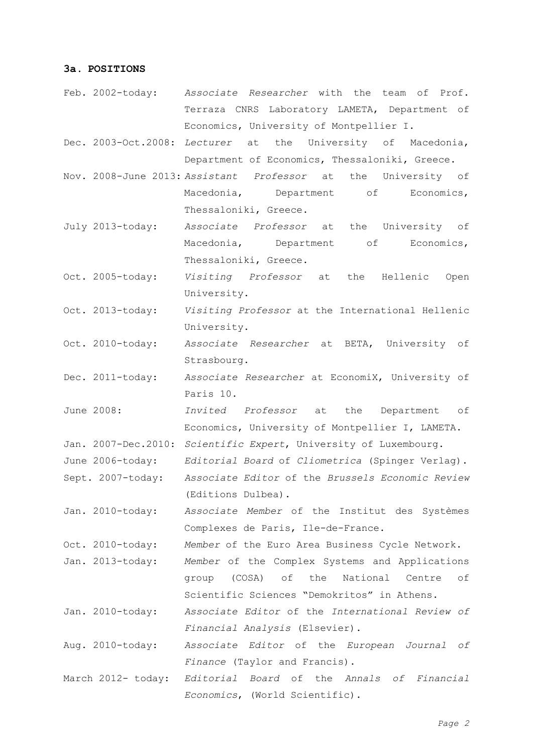# **3a. POSITIONS**

- Feb. 2002-today: *Associate Researcher* with the team of Prof. Terraza CNRS Laboratory LAMETA, Department of Economics, University of Montpellier I.
- Dec. 2003-Oct.2008: *Lecturer* at the University of Macedonia, Department of Economics, Thessaloniki, Greece.
- Nov. 2008-June 2013: *Assistant Professor* at the University of Macedonia, Department of Economics, Thessaloniki, Greece.
- July 2013-today: *Associate Professor* at the University of Macedonia, Department of Economics, Thessaloniki, Greece.
- Oct. 2005-today: *Visiting Professor* at the Hellenic Open University.
- Oct. 2013-today: *Visiting Professor* at the International Hellenic University.
- Oct. 2010-today: *Associate Researcher* at BETA, University of Strasbourg.
- Dec. 2011-today: *Associate Researcher* at EconomiX, University of Paris 10.
- June 2008: *Invited Professor* at the Department of Economics, University of Montpellier I, LAMETA.
- Jan. 2007-Dec.2010: *Scientific Expert*, University of Luxembourg.
- June 2006-today: *Editorial Board* of *Cliometrica* (Spinger Verlag).
- Sept. 2007-today: *Associate Editor* of the *Brussels Economic Review* (Editions Dulbea).

Jan. 2010-today: *Associate Member* of the Institut des Systèmes Complexes de Paris, Ile-de-France.

Oct. 2010-today: *Member* of the Euro Area Business Cycle Network. Jan. 2013-today: *Member* of the Complex Systems and Applications group (COSA) of the National Centre of

Jan. 2010-today: *Associate Editor* of the *International Review of Financial Analysis* (Elsevier).

Scientific Sciences "Demokritos" in Athens.

Aug. 2010-today: *Associate Editor* of the *European Journal of Finance* (Taylor and Francis).

March 2012- today: *Editorial Board* of the *Annals of Financial Economics*, (World Scientific).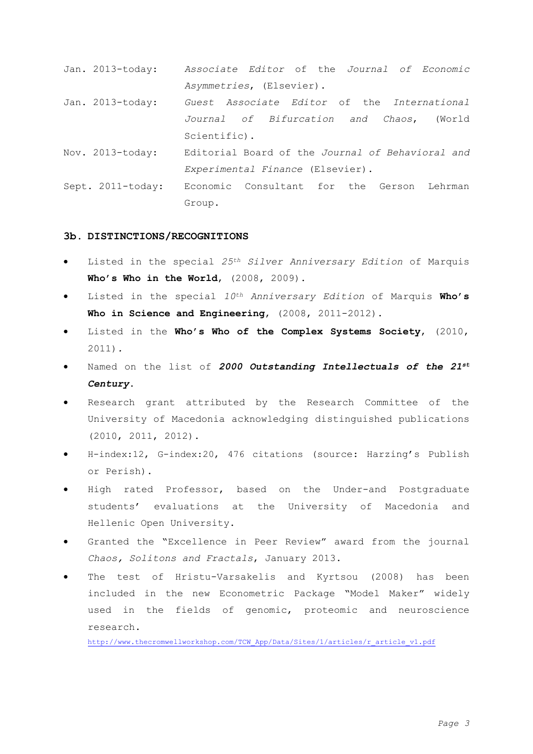- Jan. 2013-today: *Associate Editor* of the *Journal of Economic Asymmetries*, (Elsevier).
- Jan. 2013-today: *Guest Associate Editor* of the *International Journal of Bifurcation and Chaos*, (World Scientific).
- Nov. 2013-today: Editorial Board of the *Journal of Behavioral and Experimental Finance* (Elsevier).
- Sept. 2011-today: Economic Consultant for the Gerson Lehrman Group.

### **3b. DISTINCTIONS/RECOGNITIONS**

- Listed in the special *25th Silver Anniversary Edition* of Marquis **Who's Who in the World**, (2008, 2009).
- Listed in the special *10th Anniversary Edition* of Marquis **Who's Who in Science and Engineering**, (2008, 2011-2012).
- Listed in the **Who's Who of the Complex Systems Society**, (2010, 2011)*.*
- Named on the list of *2000 Outstanding Intellectuals of the 21st Century*.
- Research grant attributed by the Research Committee of the University of Macedonia acknowledging distinguished publications (2010, 2011, 2012).
- H-index:12, G-index:20, 476 citations (source: Harzing's Publish or Perish).
- High rated Professor, based on the Under-and Postgraduate students' evaluations at the University of Macedonia and Hellenic Open University.
- Granted the "Excellence in Peer Review" award from the journal *Chaos, Solitons and Fractals*, January 2013.
- The test of Hristu-Varsakelis and Kyrtsou (2008) has been included in the new Econometric Package "Model Maker" widely used in the fields of genomic, proteomic and neuroscience research.

[http://www.thecromwellworkshop.com/TCW\\_App/Data/Sites/1/articles/r\\_article\\_v1.pdf](http://www.thecromwellworkshop.com/TCW_App/Data/Sites/1/articles/r_article_v1.pdf)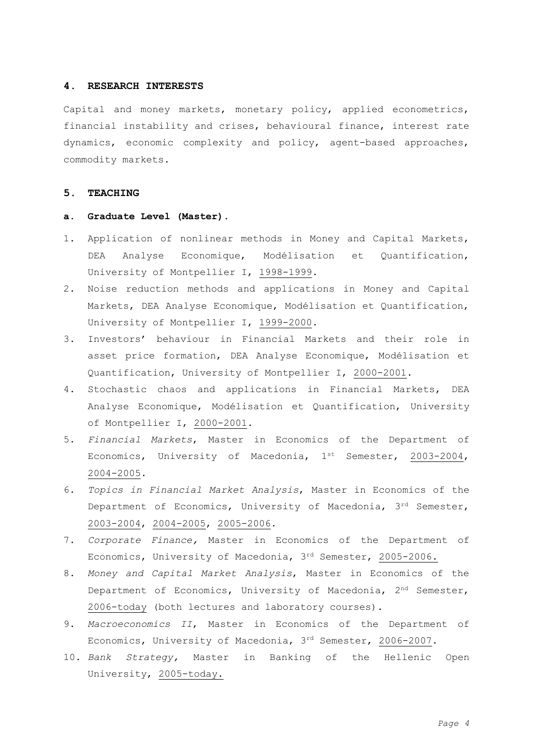## **4. RESEARCH INTERESTS**

Capital and money markets, monetary policy, applied econometrics, financial instability and crises, behavioural finance, interest rate dynamics, economic complexity and policy, agent-based approaches, commodity markets.

# **5. TEACHING**

## **a. Graduate Level (Master).**

- 1. Application of nonlinear methods in Money and Capital Markets, DEA Analyse Economique, Modélisation et Quantification, University of Montpellier I, 1998-1999.
- 2. Noise reduction methods and applications in Money and Capital Markets, DEA Analyse Economique, Modélisation et Quantification, University of Montpellier I, 1999-2000.
- 3. Investors' behaviour in Financial Markets and their role in asset price formation, DEA Analyse Economique, Modélisation et Quantification, University of Montpellier I, 2000-2001.
- 4. Stochastic chaos and applications in Financial Markets, DEA Analyse Economique, Modélisation et Quantification, University of Montpellier I, 2000-2001.
- 5. *Financial Markets*, Master in Economics of the Department of Economics, University of Macedonia, 1<sup>st</sup> Semester, 2003-2004, 2004-2005.
- 6. *Topics in Financial Market Analysis*, Master in Economics of the Department of Economics, University of Macedonia, 3rd Semester, 2003-2004, 2004-2005, 2005-2006.
- 7. *Corporate Finance,* Master in Economics of the Department of Economics, University of Macedonia, 3rd Semester, 2005-2006.
- 8. *Money and Capital Market Analysis*, Master in Economics of the Department of Economics, University of Macedonia,  $2<sup>nd</sup>$  Semester, 2006-today (both lectures and laboratory courses).
- 9. *Macroeconomics II*, Master in Economics of the Department of Economics, University of Macedonia, 3rd Semester, 2006-2007.
- 10. *Bank Strategy,* Master in Banking of the Hellenic Open University, 2005-today.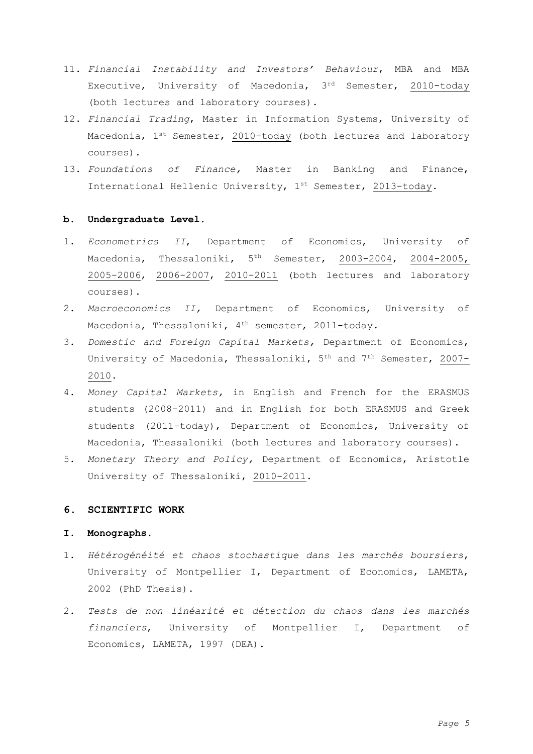- 11. *Financial Instability and Investors' Behaviour*, MBA and MBA Executive, University of Macedonia, 3rd Semester, 2010-today (both lectures and laboratory courses).
- 12. *Financial Trading*, Master in Information Systems, University of Macedonia, 1<sup>st</sup> Semester, 2010-today (both lectures and laboratory courses).
- 13. *Foundations of Finance,* Master in Banking and Finance, International Hellenic University, 1st Semester, 2013-today.

## **b. Undergraduate Level.**

- 1. *Econometrics II*, Department of Economics, University of Macedonia, Thessaloniki, 5<sup>th</sup> Semester, 2003-2004, 2004-2005, 2005-2006, 2006-2007, 2010-2011 (both lectures and laboratory courses).
- 2. *Macroeconomics II,* Department of Economics, University of Macedonia, Thessaloniki, 4<sup>th</sup> semester, 2011-today.
- 3. *Domestic and Foreign Capital Markets,* Department of Economics, University of Macedonia, Thessaloniki, 5th and 7th Semester, 2007- 2010.
- 4. *Money Capital Markets,* in English and French for the ERASMUS students (2008-2011) and in English for both ERASMUS and Greek students (2011-today), Department of Economics, University of Macedonia, Thessaloniki (both lectures and laboratory courses).
- 5. *Monetary Theory and Policy,* Department of Economics, Aristotle University of Thessaloniki, 2010-2011.

### **6. SCIENTIFIC WORK**

# **Ι. Monographs.**

- 1. *Ηétérogénéité et chaos stochastique dans les marchés boursiers*, University of Montpellier I, Department of Economics, LAMETA, 2002 (PhD Thesis).
- 2. *Tests de non linéarité et détection du chaos dans les marchés financiers*, University of Montpellier I, Department of Economics, LAMETA, 1997 (DEA).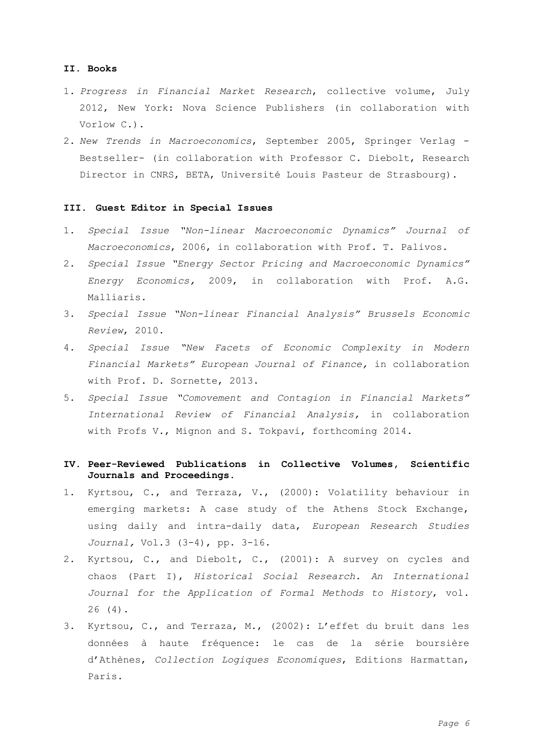### **ΙI. Books**

- 1. *Progress in Financial Market Research*, collective volume, July 2012, New York: Nova Science Publishers (in collaboration with Vorlow C.).
- 2. *New Trends in Macroeconomics*, September 2005, Springer Verlag Bestseller- (in collaboration with Professor C. Diebolt, Research Director in CNRS, ΒΕΤΑ, Université Louis Pasteur de Strasbourg).

### **ΙII. Guest Editor in Special Issues**

- 1. *Special Issue "Non-linear Macroeconomic Dynamics" Journal of Macroeconomics*, 2006, in collaboration with Prof. T. Palivos.
- 2. *Special Issue "Energy Sector Pricing and Macroeconomic Dynamics" Energy Economics,* 2009, in collaboration with Prof. A.G. Malliaris.
- 3. *Special Issue "Non-linear Financial Analysis" Brussels Economic Review*, 2010.
- 4. *Special Issue "New Facets of Economic Complexity in Modern Financial Markets" European Journal of Finance,* in collaboration with Prof. D. Sornette, 2013.
- 5. *Special Issue "Comovement and Contagion in Financial Markets" International Review of Financial Analysis,* in collaboration with Profs V., Mignon and S. Tokpavi, forthcoming 2014.

# **ΙV. Peer-Reviewed Publications in Collective Volumes, Scientific Journals and Proceedings.**

- 1. Kyrtsou, C., and Terraza, V., (2000): Volatility behaviour in emerging markets: A case study of the Athens Stock Exchange, using daily and intra-daily data, *European Research Studies Journal,* Vol.3 (3-4), pp. 3-16.
- 2. Kyrtsou, C., and Diebolt, C., (2001): A survey on cycles and chaos (Part I), *Historical Social Research. An International Journal for the Application of Formal Methods to History*, vol. 26 (4).
- 3. Kyrtsou, C., and Terraza, M., (2002): L'effet du bruit dans les données à haute fréquence: le cas de la série boursière d'Athènes, *Collection Logiques Economiques*, Editions Harmattan, Paris.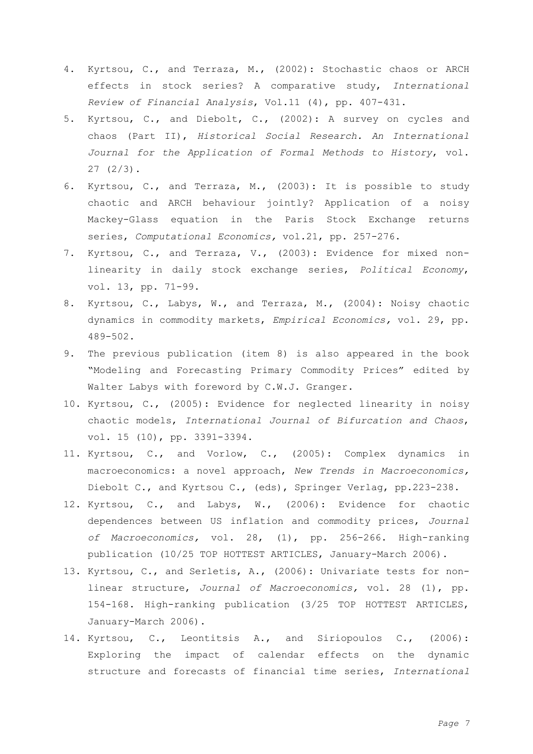- 4. Kyrtsou, C., and Terraza, M., (2002): Stochastic chaos or ARCH effects in stock series? A comparative study, *International Review of Financial Analysis*, Vol.11 (4), pp. 407-431.
- 5. Kyrtsou, C., and Diebolt, C., (2002): A survey on cycles and chaos (Part II), *Historical Social Research. An International Journal for the Application of Formal Methods to History*, vol. 27 (2/3).
- 6. Kyrtsou, C., and Terraza, M., (2003): It is possible to study chaotic and ARCH behaviour jointly? Application of a noisy Mackey-Glass equation in the Paris Stock Exchange returns series, *Computational Economics,* vol.21, pp. 257-276.
- 7. Kyrtsou, C., and Terraza, V., (2003): Evidence for mixed nonlinearity in daily stock exchange series, *Political Economy*, vol. 13, pp. 71-99.
- 8. Kyrtsou, C., Labys, W., and Terraza, M., (2004): Noisy chaotic dynamics in commodity markets, *Empirical Economics,* vol. 29, pp. 489-502.
- 9. The previous publication (item 8) is also appeared in the book "Modeling and Forecasting Primary Commodity Prices" edited by Walter Labys with foreword by C.W.J. Granger.
- 10. Kyrtsou, C., (2005): Evidence for neglected linearity in noisy chaotic models, *International Journal of Bifurcation and Chaos*, vol. 15 (10), pp. 3391-3394.
- 11. Kyrtsou, C., and Vorlow, C., (2005): Complex dynamics in macroeconomics: a novel approach, *New Trends in Macroeconomics,* Diebolt C., and Kyrtsou C., (eds), Springer Verlag, pp.223-238.
- 12. Kyrtsou, C., and Labys, W., (2006): Evidence for chaotic dependences between US inflation and commodity prices, *Journal of Macroeconomics,* vol. 28, (1), pp. 256-266. High-ranking publication (10/25 TOP HOTTEST ARTICLES, January-March 2006).
- 13. Kyrtsou, C., and Serletis, A., (2006): Univariate tests for nonlinear structure, *Journal of Macroeconomics,* vol. 28 (1), pp. 154-168. High-ranking publication (3/25 TOP HOTTEST ARTICLES, January-March 2006).
- 14. Kyrtsou, C., Leontitsis A., and Siriopoulos C., (2006): Exploring the impact of calendar effects on the dynamic structure and forecasts of financial time series, *International*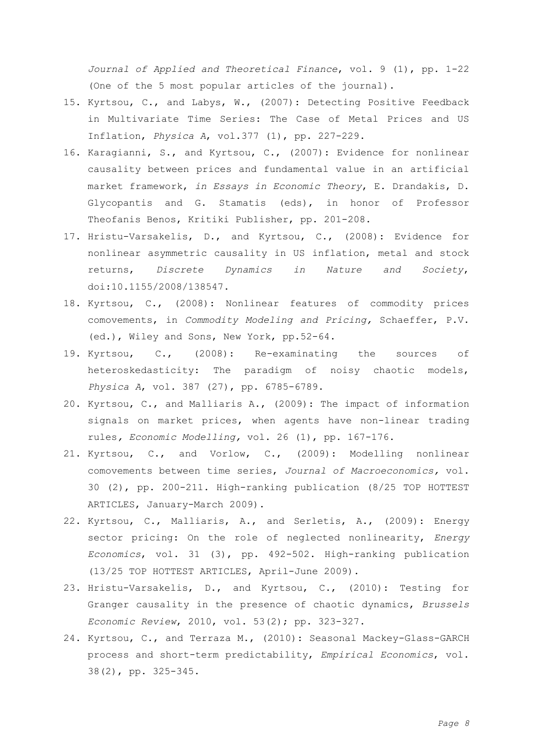*Journal of Applied and Theoretical Finance*, vol. 9 (1), pp. 1-22 (One of the 5 most popular articles of the journal).

- 15. Kyrtsou, C., and Labys, W., (2007): Detecting Positive Feedback in Multivariate Time Series: The Case of Metal Prices and US Inflation, *Physica A*, vol.377 (1), pp. 227-229.
- 16. Karagianni, S., and Kyrtsou, C., (2007): Evidence for nonlinear causality between prices and fundamental value in an artificial market framework, *in Essays in Economic Theory*, E. Drandakis, D. Glycopantis and G. Stamatis (eds), in honor of Professor Theofanis Benos, Kritiki Publisher, pp. 201-208.
- 17. Hristu-Varsakelis, D., and Kyrtsou, C., (2008): Evidence for nonlinear asymmetric causality in US inflation, metal and stock returns, *Discrete Dynamics in Nature and Society*, doi:10.1155/2008/138547.
- 18. Kyrtsou, C., (2008): Nonlinear features of commodity prices comovements, in *Commodity Modeling and Pricing,* Schaeffer, P.V. (ed.), Wiley and Sons, New York, pp.52-64.
- 19. Kyrtsou, C., (2008): Re-examinating the sources of heteroskedasticity: The paradigm of noisy chaotic models, *Physica A*, vol. 387 (27), pp. 6785-6789.
- 20. Kyrtsou, C., and Malliaris A., (2009): The impact of information signals on market prices, when agents have non-linear trading rules*, Economic Modelling,* vol. 26 (1), pp. 167-176.
- 21. Kyrtsou, C., and Vorlow, C., (2009): Modelling nonlinear comovements between time series, *Journal of Macroeconomics,* vol. 30 (2), pp. 200-211. High-ranking publication (8/25 TOP HOTTEST ARTICLES, January-March 2009).
- 22. Kyrtsou, C., Malliaris, A., and Serletis, A., (2009): Energy sector pricing: On the role of neglected nonlinearity, *Energy Economics*, vol. 31 (3), pp. 492-502. High-ranking publication (13/25 TOP HOTTEST ARTICLES, April-June 2009).
- 23. Hristu-Varsakelis, D., and Kyrtsou, C., (2010): Testing for Granger causality in the presence of chaotic dynamics, *Brussels Economic Review*, 2010, vol. 53(2); pp. 323-327.
- 24. Kyrtsou, C., and Terraza M., (2010): Seasonal Mackey-Glass-GARCH process and short-term predictability, *Empirical Economics*, vol. 38(2), pp. 325-345.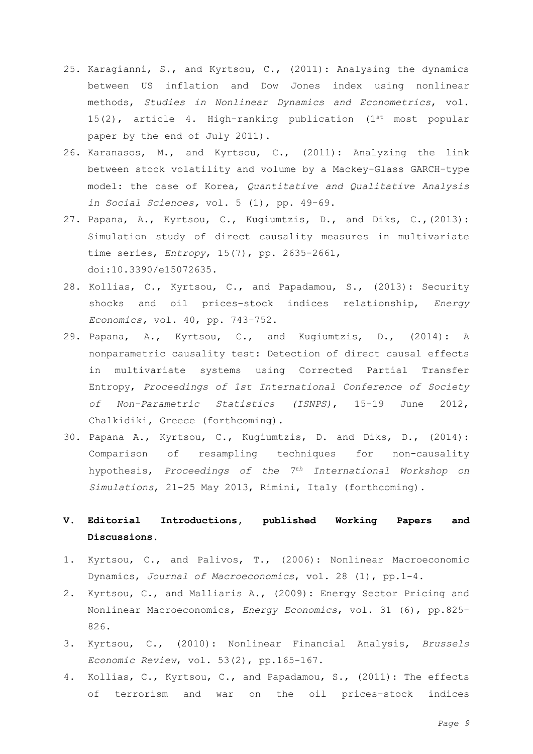- 25. Karagianni, S., and Kyrtsou, C., (2011): Analysing the dynamics between US inflation and Dow Jones index using nonlinear methods, *Studies in Nonlinear Dynamics and Econometrics*, vol. 15(2), article 4. High-ranking publication  $(1^{st} \text{ most popular})$ paper by the end of July 2011).
- 26. Karanasos, M., and Kyrtsou, C., (2011): Analyzing the link between stock volatility and volume by a Mackey-Glass GARCH-type model: the case of Korea, *Quantitative and Qualitative Analysis in Social Sciences,* vol. 5 (1), pp. 49-69.
- 27. [Papana,](http://www.mdpi.com/search?authors=Angeliki+Papana) A., [Kyrtsou,](http://www.mdpi.com/search?authors=Catherine+Kyrtsou) C., [Kugiumtzis,](http://www.mdpi.com/search?authors=Dimitris+Kugiumtzis) D., and [Diks,](http://www.mdpi.com/search?authors=Cees+Diks) C.,(2013): Simulation study of direct causality measures in multivariate time series, *Entropy*, 15(7), pp. 2635-2661, doi:10.3390/e15072635.
- 28. Kollias, C., Kyrtsou, C., and Papadamou, S., (2013): Security shocks and oil prices–stock indices relationship, *Energy Economics,* vol. 40, pp. 743–752.
- 29. Papana, Α., Kyrtsou, C., and Kugiumtzis, D., (2014): A nonparametric causality test: Detection of direct causal effects in multivariate systems using Corrected Partial Transfer Entropy, *Proceedings of 1st International Conference of Society of Non-Parametric Statistics (ISNPS)*, 15-19 June 2012, Chalkidiki, Greece (forthcoming).
- 30. Papana A., Kyrtsou, C., Kugiumtzis, D. and Diks, D., (2014): Comparison of resampling techniques for non-causality hypothesis, *Proceedings of the 7th International Workshop on Simulations*, 21-25 May 2013, Rimini, Italy (forthcoming).

# **V. Editorial Introductions, published Working Papers and Discussions.**

- 1. Kyrtsou, C., and Palivos, T., (2006): Nonlinear Macroeconomic Dynamics, *Journal of Macroeconomics*, vol. 28 (1), pp.1-4.
- 2. Kyrtsou, C., and Malliaris A., (2009): Energy Sector Pricing and Nonlinear Macroeconomics, *Energy Economics*, vol. 31 (6), pp.825- 826.
- 3. Kyrtsou, C., (2010): Nonlinear Financial Analysis, *Brussels Economic Review*, vol. 53(2), pp.165-167.
- 4. Kollias, C., Kyrtsou, C., and Papadamou, S., (2011): The effects of terrorism and war on the oil prices-stock indices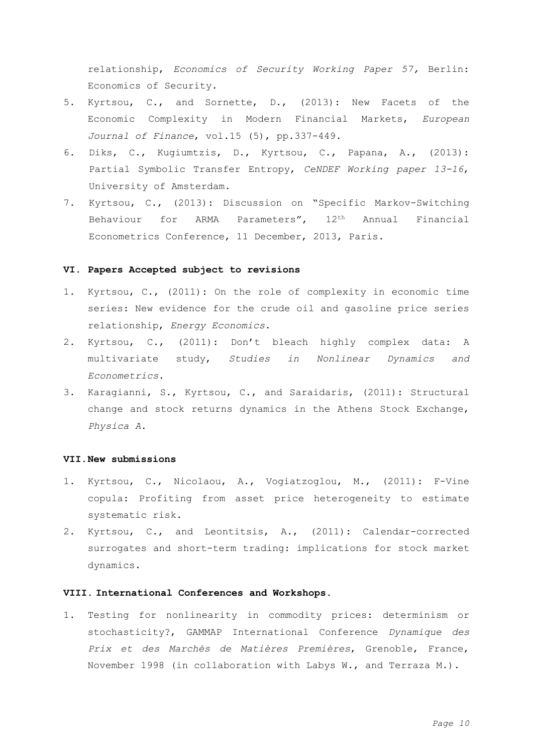relationship, *Economics of Security Working Paper 57,* Berlin: Economics of Security.

- 5. Kyrtsou, C., and Sornette, D., (2013): New Facets of the Economic Complexity in Modern Financial Markets, *European Journal of Finance*, vol.15 (5), pp.337-449.
- 6. Diks, C., Kugiumtzis, D., Kyrtsou, C., Papana, A., (2013): Partial Symbolic Transfer Entropy, *CeNDEF Working paper 13-16*, University of Amsterdam.
- 7. Kyrtsou, C., (2013): Discussion on "Specific Markov-Switching Behaviour for ARMA Parameters", 12<sup>th</sup> Annual Financial Econometrics Conference, 11 December, 2013, Paris.

# **VI. Papers Accepted subject to revisions**

- 1. Kyrtsou, C., (2011): On the role of complexity in economic time series: New evidence for the crude oil and gasoline price series relationship, *Energy Economics*.
- 2. Kyrtsou, C., (2011): Don't bleach highly complex data: A multivariate study, *Studies in Nonlinear Dynamics and Econometrics*.
- 3. Karagianni, S., Kyrtsou, C., and Saraidaris, (2011): Structural change and stock returns dynamics in the Athens Stock Exchange, *Physica A*.

### **VII.New submissions**

- 1. Kyrtsou, C., Nicolaou, A., Vogiatzoglou, M., (2011): F-Vine copula: Profiting from asset price heterogeneity to estimate systematic risk.
- 2. Kyrtsou, C., and Leontitsis, A., (2011): Calendar-corrected surrogates and short-term trading: implications for stock market dynamics.

## **VIII. International Conferences and Workshops.**

1. Testing for nonlinearity in commodity prices: determinism or stochasticity?, GAMMAP International Conference *Dynamique des Prix et des Marchés de Matières Premières*, Grenoble, France, November 1998 (in collaboration with Labys W., and Terraza M.).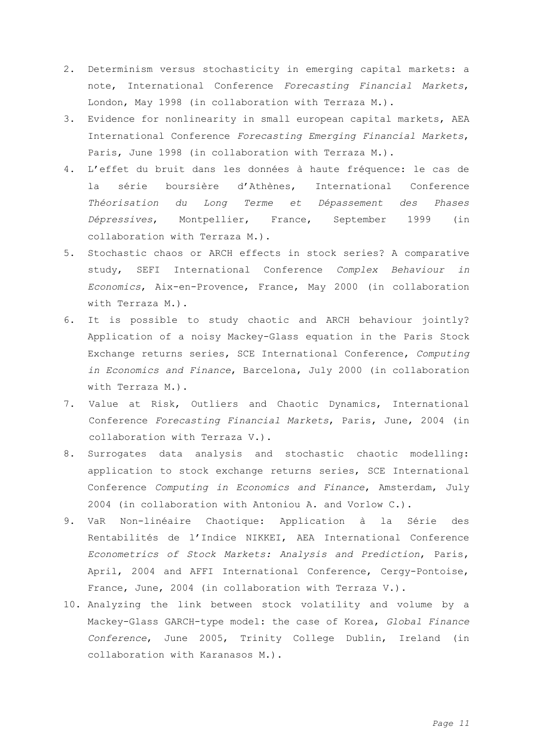- 2. Determinism versus stochasticity in emerging capital markets: a note, International Conference *Forecasting Financial Markets*, London, May 1998 (in collaboration with Terraza M.).
- 3. Evidence for nonlinearity in small european capital markets, AEA International Conference *Forecasting Emerging Financial Markets*, Paris, June 1998 (in collaboration with Terraza M.).
- 4. L'effet du bruit dans les données à haute fréquence: le cas de la série boursière d'Athènes, International Conference *Théorisation du Long Terme et Dépassement des Phases Dépressives*, Montpellier, France, September 1999 (in collaboration with Terraza M.).
- 5. Stochastic chaos or ARCH effects in stock series? A comparative study, SEFI International Conference *Complex Behaviour in Economics*, Aix-en-Provence, France, Μay 2000 (in collaboration with Terraza M.).
- 6. It is possible to study chaotic and ARCH behaviour jointly? Application of a noisy Mackey-Glass equation in the Paris Stock Exchange returns series, SCE International Conference, *Computing in Economics and Finance*, Βarcelona, July 2000 (in collaboration with Terraza M.).
- 7. Value at Risk, Outliers and Chaotic Dynamics, International Conference *Forecasting Financial Markets*, Paris, June, 2004 (in collaboration with Terraza V.).
- 8. Surrogates data analysis and stochastic chaotic modelling: application to stock exchange returns series, SCE International Conference *Computing in Economics and Finance*, Amsterdam, July 2004 (in collaboration with Antoniou A. and Vorlow C.).
- 9. VaR Non-linéaire Chaotique: Application à la Série des Rentabilités de l'Indice NIKKEI, ΑΕΑ International Conference *Econometrics of Stock Markets: Analysis and Prediction*, Paris, April, 2004 and AFFI International Conference, Cergy-Pontoise, France, June, 2004 (in collaboration with Terraza V.).
- 10. Analyzing the link between stock volatility and volume by a Mackey-Glass GARCH-type model: the case of Korea, *Global Finance Conference*, June 2005, Trinity College Dublin, Ireland (in collaboration with Karanasos M.).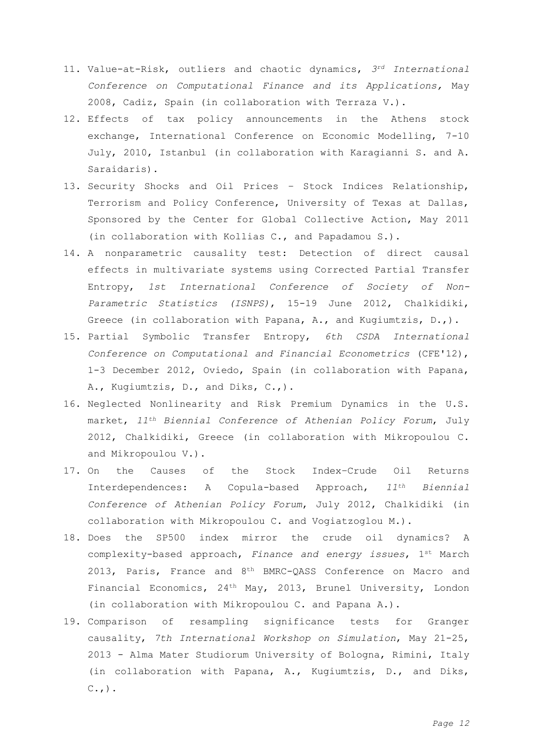- 11. Value-at-Risk, outliers and chaotic dynamics, *3rd International Conference on Computational Finance and its Applications,* May 2008, Cadiz, Spain (in collaboration with Terraza V.).
- 12. Effects of tax policy announcements in the Athens stock exchange, International Conference on Economic Modelling, 7-10 July, 2010, Istanbul (in collaboration with Karagianni S. and A. Saraidaris).
- 13. Security Shocks and Oil Prices Stock Indices Relationship, Terrorism and Policy Conference, University of Texas at Dallas, Sponsored by the Center for Global Collective Action, May 2011 (in collaboration with Kollias C., and Papadamou S.).
- 14. A nonparametric causality test: Detection of direct causal effects in multivariate systems using Corrected Partial Transfer Entropy, *1st International Conference of Society of Non-Parametric Statistics (ISNPS)*, 15-19 June 2012, Chalkidiki, Greece (in collaboration with Papana, A., and Kugiumtzis, D.,).
- 15. Partial Symbolic Transfer Entropy, *6th CSDA International Conference on Computational and Financial Econometrics* (CFE'12), 1-3 December 2012, Oviedo, Spain (in collaboration with Papana, A., Kugiumtzis, D., and Diks, C.,).
- 16. Neglected Nonlinearity and Risk Premium Dynamics in the U.S. market, *11th Biennial Conference of Athenian Policy Forum*, July 2012, Chalkidiki, Greece (in collaboration with Mikropoulou C. and Mikropoulou V.).
- 17. On the Causes of the Stock Index–Crude Oil Returns Interdependences: A Copula-based Approach, *11th Biennial Conference of Athenian Policy Forum*, July 2012, Chalkidiki (in collaboration with Mikropoulou C. and Vogiatzoglou M.).
- 18. Does the SP500 index mirror the crude oil dynamics? A complexity-based approach, *Finance and energy issues*, 1st March 2013, Paris, France and 8<sup>th</sup> BMRC-QASS Conference on Macro and Financial Economics, 24th May, 2013, Brunel University, London (in collaboration with Mikropoulou C. and Papana A.).
- 19. Comparison of resampling significance tests for Granger causality, *7th International Workshop on Simulation*, May 21-25, 2013 - Alma Mater Studiorum University of Bologna, Rimini, Italy (in collaboration with Papana, A., Kugiumtzis, D., and Diks,  $C.$ ,  $)$ .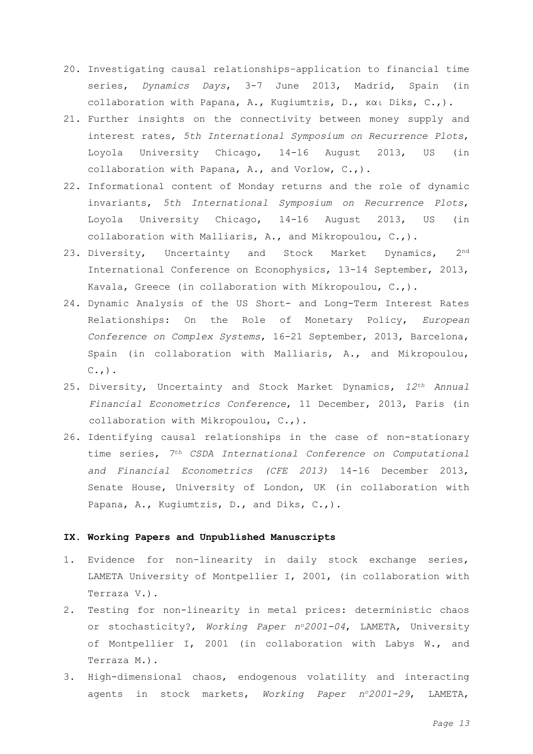- 20. Investigating causal relationships–application to financial time series, *Dynamics Days*, 3-7 June 2013, Madrid, Spain (in collaboration with Papana, A., Kugiumtzis, D., και Diks, C.,).
- 21. Further insights on the connectivity between money supply and interest rates, *5th International Symposium on Recurrence Plots*, Loyola University Chicago, 14-16 August 2013, US (in collaboration with Papana, A., and Vorlow, C.,).
- 22. Informational content of Monday returns and the role of dynamic invariants, *5th International Symposium on Recurrence Plots*, Loyola University Chicago, 14-16 August 2013, US (in collaboration with Malliaris, A., and Mikropoulou, C.,).
- 23. Diversity, Uncertainty and Stock Market Dynamics, 2<sup>nd</sup> International Conference on Econophysics, 13-14 September, 2013, Kavala, Greece (in collaboration with Mikropoulou, C.,).
- 24. Dynamic Analysis of the US Short- and Long-Term Interest Rates Relationships: On the Role of Monetary Policy, *European Conference on Complex Systems*, 16-21 September, 2013, Barcelona, Spain (in collaboration with Malliaris, A., and Mikropoulou,  $C.$ ,  $)$ .
- 25. Diversity, Uncertainty and Stock Market Dynamics, *12th Annual Financial Econometrics Conference*, 11 December, 2013, Paris (in collaboration with Mikropoulou, C.,).
- 26. Identifying causal relationships in the case of non-stationary time series, *7th CSDA International Conference on Computational and Financial Econometrics (CFE 2013)* 14-16 December 2013, Senate House, University of London, UK (in collaboration with Papana, A., Kugiumtzis, D., and Diks, C.,).

### **IX. Working Papers and Unpublished Manuscripts**

- 1. Evidence for non-linearity in daily stock exchange series, LAMETA University of Montpellier I, 2001, (in collaboration with Terraza V.).
- 2. Testing for non-linearity in metal prices: deterministic chaos or stochasticity?, *Working Paper no2001-04*, LAMETA, University of Montpellier I, 2001 (in collaboration with Labys W., and Terraza M.).
- 3. High-dimensional chaos, endogenous volatility and interacting agents in stock markets, *Working Paper no2001-29*, LAMETA,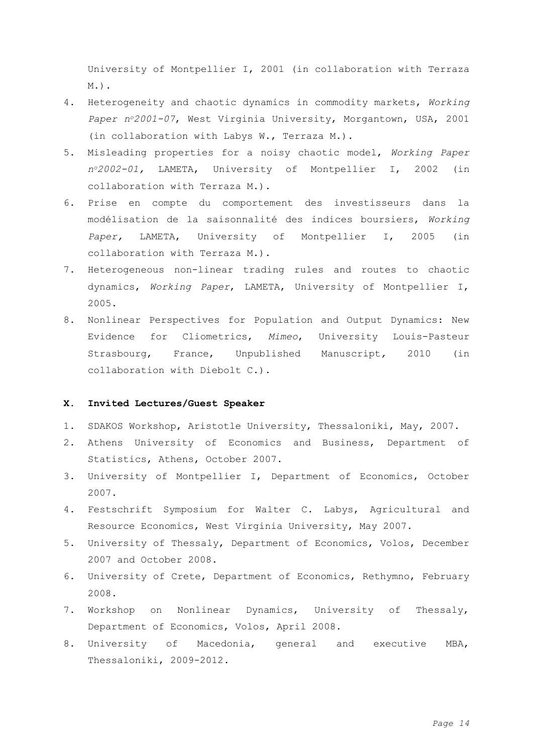University of Montpellier I, 2001 (in collaboration with Terraza M.).

- 4. Heterogeneity and chaotic dynamics in commodity markets, *Working Paper no2001-07*, West Virginia University, Morgantown, USA, 2001 (in collaboration with Labys W., Terraza M.).
- 5. Misleading properties for a noisy chaotic model, *Working Paper no2002-01,* LAMETA, University of Montpellier I, 2002 (in collaboration with Terraza M.).
- 6. Prise en compte du comportement des investisseurs dans la modélisation de la saisonnalité des indices boursiers, *Working Paper,* LAMETA, University of Montpellier I, 2005 (in collaboration with Terraza M.).
- 7. Heterogeneous non-linear trading rules and routes to chaotic dynamics, *Working Paper*, LAMETA, University of Montpellier I, 2005.
- 8. Nonlinear Perspectives for Population and Output Dynamics: New Evidence for Cliometrics, *Mimeo*, University Louis-Pasteur Strasbourg, France, Unpublished Manuscript*,* 2010 (in collaboration with Diebolt C.).

# **X. Invited Lectures/Guest Speaker**

- 1. SDAKOS Workshop, Aristotle University, Thessaloniki, May, 2007.
- 2. Athens University of Economics and Business, Department of Statistics, Athens, October 2007.
- 3. University of Montpellier I, Department of Economics, October 2007.
- 4. Festschrift Symposium for Walter C. Labys, Agricultural and Resource Economics, West Virginia University, May 2007.
- 5. University of Thessaly, Department of Economics, Volos, December 2007 and October 2008.
- 6. University of Crete, Department of Economics, Rethymno, February 2008.
- 7. Workshop on Nonlinear Dynamics, University of Thessaly, Department of Economics, Volos, April 2008.
- 8. University of Macedonia, general and executive MBA, Thessaloniki, 2009-2012.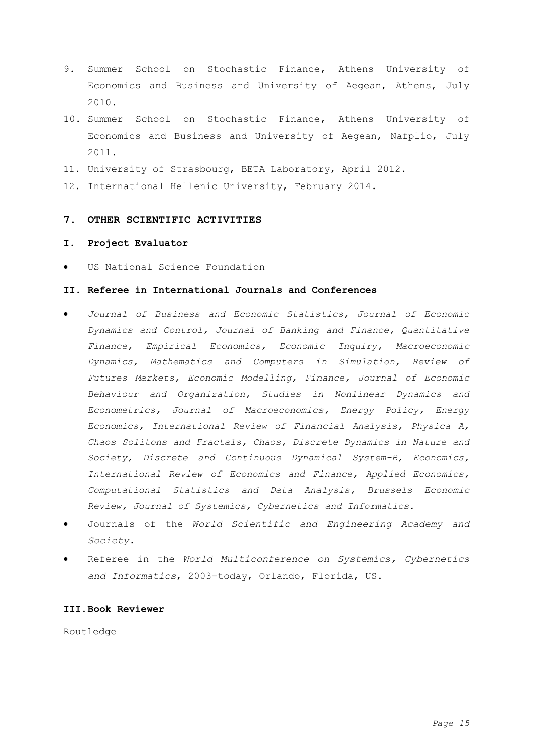- 9. Summer School on Stochastic Finance, Athens University of Economics and Business and University of Aegean, Athens, July 2010.
- 10. Summer School on Stochastic Finance, Athens University of Economics and Business and University of Aegean, Nafplio, July 2011.
- 11. University of Strasbourg, BETA Laboratory, April 2012.
- 12. International Hellenic University, February 2014.

# **7. OTHER SCIENTIFIC ACTIVITIES**

### **Ι. Project Evaluator**

US National Science Foundation

# **II. Referee in International Journals and Conferences**

- *Journal of Business and Economic Statistics, Journal of Economic Dynamics and Control, Journal of Banking and Finance, Quantitative Finance, Empirical Economics, Economic Inquiry, Macroeconomic Dynamics, Mathematics and Computers in Simulation, Review of Futures Markets, Economic Modelling, Finance, Journal of Economic Behaviour and Organization, Studies in Nonlinear Dynamics and Econometrics, Journal of Macroeconomics, Energy Policy, Energy Economics, International Review of Financial Analysis, Physica A, Chaos Solitons and Fractals, Chaos, Discrete Dynamics in Nature and Society, Discrete and Continuous Dynamical System-B, Economics, International Review of Economics and Finance, Applied Economics, Computational Statistics and Data Analysis, Brussels Economic Review, Journal of Systemics, Cybernetics and Informatics.*
- Journals of the *World Scientific and Engineering Academy and Society.*
- Referee in the *World Multiconference on Systemics, Cybernetics and Informatics*, 2003-today, Orlando, Florida, US.

## **ΙΙI.Book Reviewer**

Routledge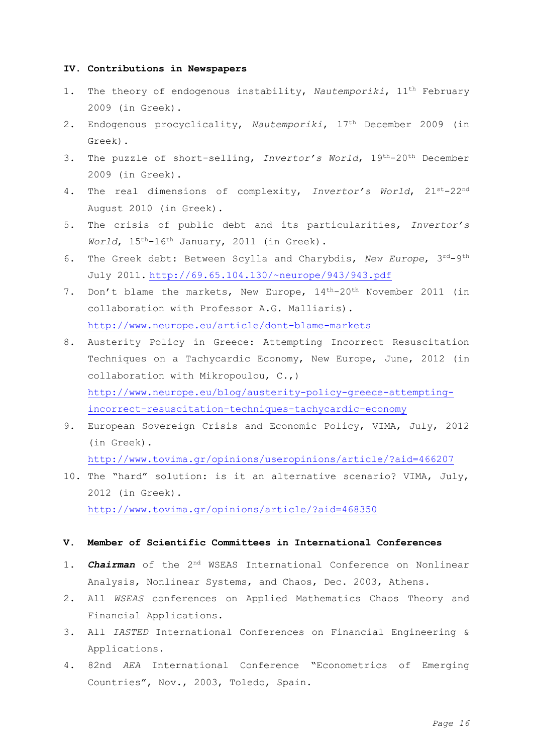### **IV. Contributions in Newspapers**

- 1. The theory of endogenous instability, *Nautemporiki*, 11th February 2009 (in Greek).
- 2. Endogenous procyclicality, *Nautemporiki*, 17th December 2009 (in Greek).
- 3. The puzzle of short-selling, *Invertor's World*, 19th-20th December 2009 (in Greek).
- 4. The real dimensions of complexity, *Invertor's World*, 21st-22nd August 2010 (in Greek).
- 5. The crisis of public debt and its particularities, *Invertor's World*, 15th-16th January, 2011 (in Greek).
- 6. The Greek debt: Between Scylla and Charybdis, New Europe, 3rd-9th July 2011. <http://69.65.104.130/~neurope/943/943.pdf>
- 7. Don't blame the markets, New Europe,  $14^{th} 20^{th}$  November 2011 (in collaboration with Professor A.G. Malliaris). <http://www.neurope.eu/article/dont-blame-markets>
- 8. Austerity Policy in Greece: Attempting Incorrect Resuscitation Techniques on a Tachycardic Economy, New Europe, June, 2012 (in collaboration with Mikropoulou, C.,) [http://www.neurope.eu/blog/austerity-policy-greece-attempting](http://www.neurope.eu/blog/austerity-policy-greece-attempting-incorrect-resuscitation-techniques-tachycardic-economy)[incorrect-resuscitation-techniques-tachycardic-economy](http://www.neurope.eu/blog/austerity-policy-greece-attempting-incorrect-resuscitation-techniques-tachycardic-economy)
- 9. European Sovereign Crisis and Economic Policy, VIMA, July, 2012 (in Greek). <http://www.tovima.gr/opinions/useropinions/article/?aid=466207>
- 10. The "hard" solution: is it an alternative scenario? VIMA, July, 2012 (in Greek).

<http://www.tovima.gr/opinions/article/?aid=468350>

### **V. Member of Scientific Committees in International Conferences**

- 1. *Chairman* of the 2nd WSEAS International Conference on Nonlinear Analysis, Nonlinear Systems, and Chaos, Dec. 2003, Athens.
- 2. All *WSEAS* conferences on Applied Mathematics Chaos Theory and Financial Applications.
- 3. All *IASTED* International Conferences on Financial Engineering & Applications.
- 4. 82nd *AEA* International Conference "Econometrics of Emerging Countries", Nov., 2003, Toledo, Spain.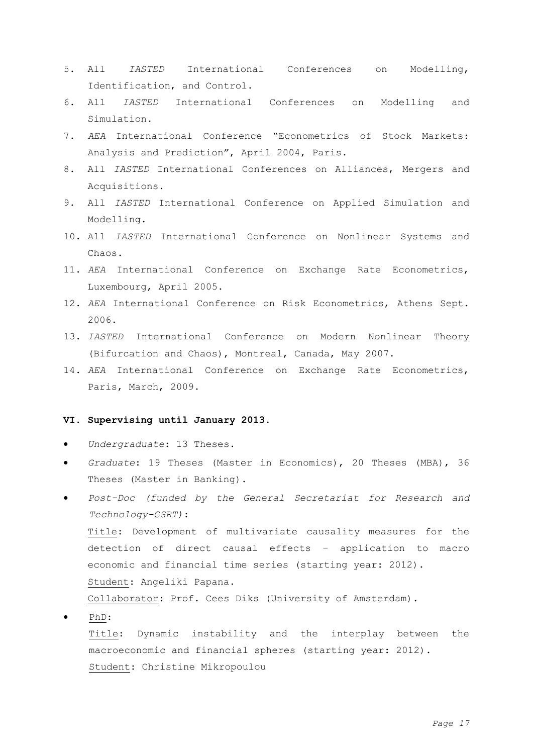- 5. All *IASTED* International Conferences on Modelling, Identification, and Control.
- 6. All *IASTED* International Conferences on Modelling and Simulation.
- 7. *AEA* International Conference "Econometrics of Stock Markets: Analysis and Prediction", April 2004, Paris.
- 8. All *IASTED* International Conferences on Alliances, Mergers and Acquisitions.
- 9. All *IASTED* International Conference on Applied Simulation and Modelling.
- 10. All *IASTED* International Conference on Nonlinear Systems and Chaos.
- 11. *ΑΕΑ* International Conference on Exchange Rate Econometrics, Luxembourg, April 2005.
- 12. *ΑΕΑ* International Conference on Risk Econometrics, Athens Sept. 2006.
- 13. *IASTED* International Conference on Modern Nonlinear Theory (Bifurcation and Chaos), Montreal, Canada, May 2007.
- 14. *ΑΕΑ* International Conference on Exchange Rate Econometrics, Paris, March, 2009.

# **VI. Supervising until January 2013.**

- *Undergraduate*: 13 Theses.
- *Graduate*: 19 Theses (Master in Economics), 20 Theses (MBA), 36 Theses (Master in Banking).
- *Post-Doc (funded by the General Secretariat for Research and Technology-GSRT)*: Title: Development of multivariate causality measures for the detection of direct causal effects – application to macro economic and financial time series (starting year: 2012). Student: Angeliki Papana. Collaborator: Prof. Cees Diks (University of Amsterdam). PhD:
	- Title: Dynamic instability and the interplay between the macroeconomic and financial spheres (starting year: 2012). Student: Christine Mikropoulou